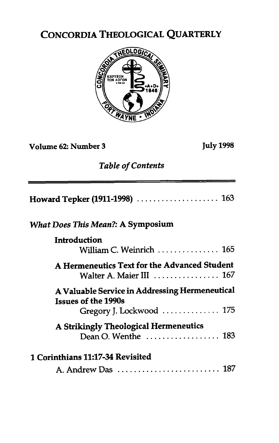## CONCORDIA THEOLOGICAL QUARTERLY



**Volume 62: Number 3 July 1998** 

## *Table of Contents*

| <i>What Does This Mean</i> ?: A Symposium                                                                    |
|--------------------------------------------------------------------------------------------------------------|
| Introduction                                                                                                 |
| William C. Weinrich $\ldots \ldots \ldots \ldots 165$                                                        |
| A Hermeneutics Text for the Advanced Student<br>Walter A. Maier III $\ldots \ldots \ldots \ldots \ldots 167$ |
| A Valuable Service in Addressing Hermeneutical<br><b>Issues of the 1990s</b>                                 |
| Gregory J. Lockwood  175                                                                                     |
| A Strikingly Theological Hermeneutics<br>Dean O. Wenthe $\dots\dots\dots\dots\dots 183$                      |
| <b>1 Corinthians 11:17-34 Revisited</b><br>A. Andrew Das  187                                                |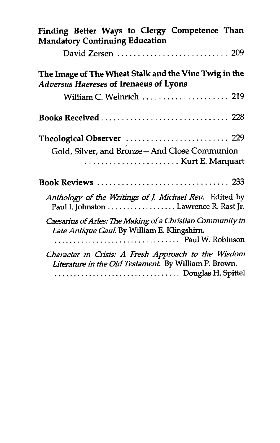| Finding Better Ways to Clergy Competence Than<br><b>Mandatory Continuing Education</b>                       |
|--------------------------------------------------------------------------------------------------------------|
|                                                                                                              |
| The Image of The Wheat Stalk and the Vine Twig in the<br><b>Adversus Haereses of Irenaeus of Lyons</b>       |
| William C. Weinrich  219                                                                                     |
|                                                                                                              |
| Theological Observer  229<br>Gold, Silver, and Bronze-And Close Communion                                    |
|                                                                                                              |
| Anthology of the Writings of J. Michael Reu. Edited by<br>Paul I. Johnston Lawrence R. Rast Jr.              |
| Caesarius of Arles: The Making of a Christian Community in<br>Late Antique Gaul. By William E. Klingshirn.   |
| Character in Crisis: A Fresh Approach to the Wisdom<br>Literature in the Old Testament. By William P. Brown. |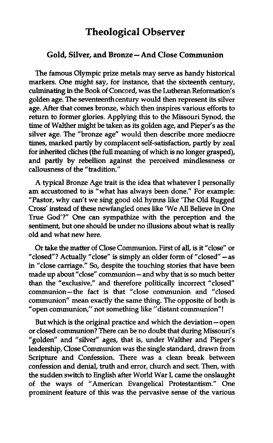## **Theological Observer**

## Gold, Silver, and Bronze - And Close Communion

The famous Olympic prize metals may serve as handy historical markers. One might say, for instance, that the sixteenth century, **culminating** in the Book of Concord, was the Lutheran Reformation's golden age. The seventeenth century would then represent its silver age. After that comes bronze, which then inspires various efforts to return to former glories. Applying this to the Missouri Synod, the time of Walther might be taken as its golden age, and Pieper's as the silver age. The "bronze age" would then describe more mediocre times, marked partly by complacent self-satisfaction, partly by zeal for inherited cliches (the full meaning of which is no longer grasped), and partly by rebellion against the perceived mindlessness or callousness of the "tradition."

A typical Bronze Age trait is the idea that whatever I personally am accustomed to is "what has always been done." For example: "Pastor, why can't we sing good old hymns like 'The Old Rugged Cross' instead of these newfangled ones like 'We All Believe in One True God'?" One can sympathize with the perception and the sentiment, but one should be under no illusions about what is really old and what new here.

Or take the matter of Close Communion. First of all, is it "close" or "closed"? Actually "close" is simply an older form of "closed" - as in "close carriage." **So,** despite the touching stories that have been made up about "close" communion - and why that is so much better than the "exclusive," and therefore politically incorrect "closed communion-the fact is that "close communion and "closed communion" mean exactly the same thing. The opposite of both is "open communion," not something like "distant communion"!

But which is the original practice and which the deviation- open or closed communion? There can be no doubt that during Missouri's "golden" and "silver" ages, that is, under Walther and Pieper's leadership, Close Communion was the single standard, drawn from Scripture and Confession. There was a clean break between confession and denial, truth and error, church and sect. Then, with the sudden switch to English after World War I, came the onslaught of the ways of "American Evangelical Protestantism." One prominent feature of this was the pervasive sense of the various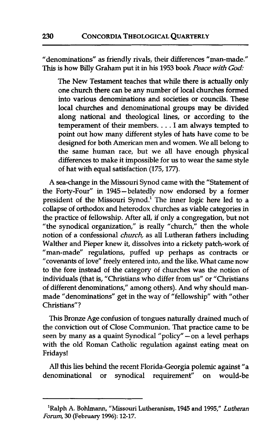"denominations" as friendly rivals, their differences "man-made." This is how Billy Graham put it in his 1953 book *Peace* wifh God:

The New Testament teaches that while there is actually only one church there can be any number of local churches formed into various denominations and societies or councils. These local churches and denominational groups may be divided along national and theological lines, or according to the temperament of their members. . . . I am always tempted to point out how many different styles of hats have come to be designed for both American men and women. We all belong to the same human race, but we all have enough physical differences to make it impossible for us to wear the same style of hat with equal satisfaction (175,177).

A sea-change in the Missouri Synod came with the "Statement of the Forty-Four" in 1945-belatedly now endorsed by a former president of the Missouri Synod.<sup>1</sup> The inner logic here led to a collapse of orthodox and heterodox churches as viable categories in the practice of fellowship. After all, if only a congregation, but not "the synodical organization," is really "church," then the whole notion of a confessional *church,* as all Lutheran fathers including Walther and Pieper knew it, dissolves into a rickety patch-work of "man-made" regulations, puffed up perhaps as contracts or "covenants of love" freely entered into, and the like. What came now to the fore instead of the category of churches was the notion of individuals (that is, "Christians who differ from us" or "Christians of different denominations," among others). And why should manmade "denominations" get in the way of "fellowship" with "other Christians"?

This Bronze Age confusion of tongues naturally drained much of the conviction out of Close Communion. That practice came to be seen by many as a quaint Synodical "policy" - on a level perhaps with the old Roman Catholic regulation against eating meat on Fridays!

All this lies behind the recent Florida-Georgia polemic against "a denominational or synodical requirement" on would-be

**<sup>&#</sup>x27;Ralph A. Bohlmann, "Missouri Lutheranism,** 1945 **and** 1995," Lutheran *Forum,* **30 February 1996):** 12-17.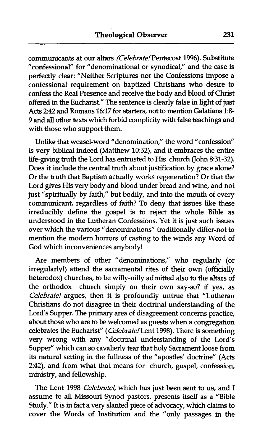communicants at our altars (Celebrate! Pentecost 1996). Substitute "confessional" for "denominational or synodical," and the case is perfectly clear: "Neither Scriptures nor the Confessions impose a confessional requirement on baptized Christians who desire to confess the Real Presence and receive the body and blood of Christ offered in the Eucharist." The sentence is clearly false in light of just Acts 242 and Romans 16:17 for starters, not to mention Galatians I:& 9 and all other texts which forbid complicity with false teachings and with those who support them.

Unlike that weasel-word "denomination," the word "confession" is very biblical indeed (Matthew 10:32), and it embraces the entire life-giving truth the Lord has entrusted to His church (John 8:31-32). Does it include the central truth about justification by grace alone? Or the truth that Baptism actually works regeneration? Or that the Lord gives His very body and blood under bread and wine, and not just "spiritually by faith," but bodily, and into the mouth of every communicant, regardless of faith? To deny that issues like these irreducibly define the gospel is to reject the whole Bible as understood in the Lutheran Confessions. Yet it is just such issues over which the various "denominations" traditionally differ-not to mention the modern horrors of casting to the winds any Word of God which inconveniences anybody!

Are members of other "denominations," who regularly (or irregularly!) attend the sacramental rites of their own (officially heterodox) churches, to be willy-nilly admitted also to the altars of the orthodox church simply on their own say-so? if yes, as Celebrate! argues, then it is profoundly untrue that "Lutheran Christians do not disagree in their doctrinal understanding of the Lord's Supper. The primary area of disagreement concerns practice, about those who are to be welcomed as guests when a congregation celebrates the Eucharist" (Celebrate! Lent 1998). There is something very wrong with any "doctrinal understanding of the Lord's Supper" which can so cavalierly tear that holy Sacrament loose from its natural setting in the fullness of the "apostles' doctrine" (Acts 2:42), and from what that means for church, gospel, confession, ministry, and fellowship.

The Lent 1998 Celebrate!, which has just been sent to us, and I assume to all Missouri Synod pastors, presents itself as a "Bible Study." It is in fact a very slanted piece of advocacy, which claims to cover the Words of Institution and the "only passages in the